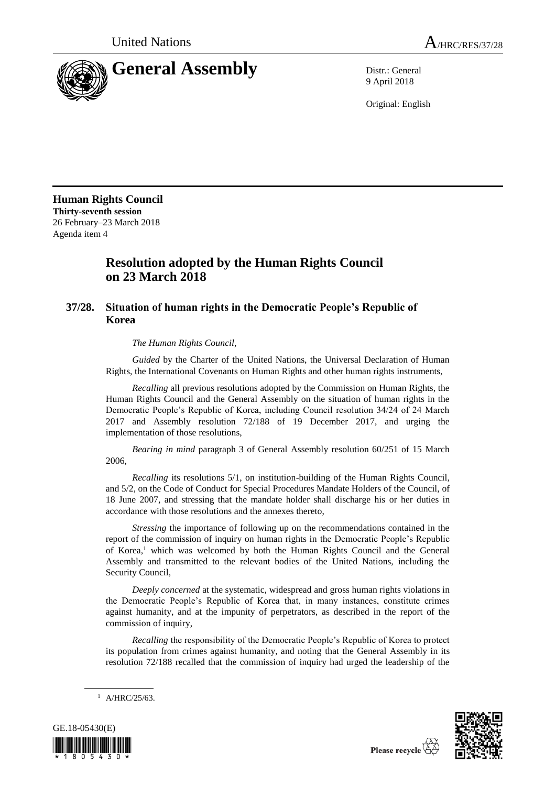

9 April 2018

Original: English

**Human Rights Council Thirty-seventh session** 26 February–23 March 2018 Agenda item 4

## **Resolution adopted by the Human Rights Council on 23 March 2018**

## **37/28. Situation of human rights in the Democratic People's Republic of Korea**

*The Human Rights Council*,

*Guided* by the Charter of the United Nations, the Universal Declaration of Human Rights, the International Covenants on Human Rights and other human rights instruments,

*Recalling* all previous resolutions adopted by the Commission on Human Rights, the Human Rights Council and the General Assembly on the situation of human rights in the Democratic People's Republic of Korea, including Council resolution 34/24 of 24 March 2017 and Assembly resolution 72/188 of 19 December 2017, and urging the implementation of those resolutions,

*Bearing in mind* paragraph 3 of General Assembly resolution 60/251 of 15 March 2006,

*Recalling* its resolutions 5/1, on institution-building of the Human Rights Council, and 5/2, on the Code of Conduct for Special Procedures Mandate Holders of the Council, of 18 June 2007, and stressing that the mandate holder shall discharge his or her duties in accordance with those resolutions and the annexes thereto,

*Stressing* the importance of following up on the recommendations contained in the report of the commission of inquiry on human rights in the Democratic People's Republic of Korea,<sup>1</sup> which was welcomed by both the Human Rights Council and the General Assembly and transmitted to the relevant bodies of the United Nations, including the Security Council,

*Deeply concerned* at the systematic, widespread and gross human rights violations in the Democratic People's Republic of Korea that, in many instances, constitute crimes against humanity, and at the impunity of perpetrators, as described in the report of the commission of inquiry,

*Recalling* the responsibility of the Democratic People's Republic of Korea to protect its population from crimes against humanity, and noting that the General Assembly in its resolution 72/188 recalled that the commission of inquiry had urged the leadership of the

<sup>1</sup> A/HRC/25/63.



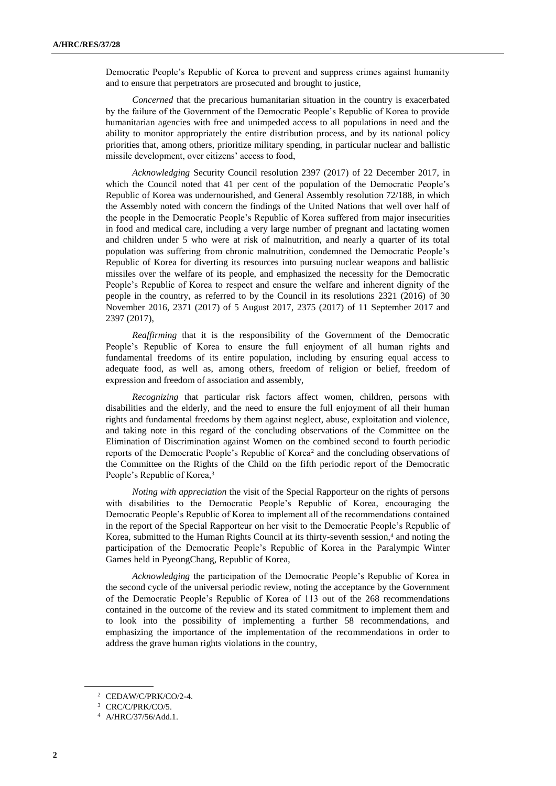Democratic People's Republic of Korea to prevent and suppress crimes against humanity and to ensure that perpetrators are prosecuted and brought to justice,

*Concerned* that the precarious humanitarian situation in the country is exacerbated by the failure of the Government of the Democratic People's Republic of Korea to provide humanitarian agencies with free and unimpeded access to all populations in need and the ability to monitor appropriately the entire distribution process, and by its national policy priorities that, among others, prioritize military spending, in particular nuclear and ballistic missile development, over citizens' access to food,

*Acknowledging* Security Council resolution 2397 (2017) of 22 December 2017, in which the Council noted that 41 per cent of the population of the Democratic People's Republic of Korea was undernourished, and General Assembly resolution 72/188, in which the Assembly noted with concern the findings of the United Nations that well over half of the people in the Democratic People's Republic of Korea suffered from major insecurities in food and medical care, including a very large number of pregnant and lactating women and children under 5 who were at risk of malnutrition, and nearly a quarter of its total population was suffering from chronic malnutrition, condemned the Democratic People's Republic of Korea for diverting its resources into pursuing nuclear weapons and ballistic missiles over the welfare of its people, and emphasized the necessity for the Democratic People's Republic of Korea to respect and ensure the welfare and inherent dignity of the people in the country, as referred to by the Council in its resolutions [2321 \(2016\)](https://undocs.org/S/RES/2321(2016)) of 30 November 2016, [2371 \(2017\)](https://undocs.org/S/RES/2371(2017)) of 5 August 2017, [2375 \(2017\)](https://undocs.org/S/RES/2375(2017)) of 11 September 2017 and 2397 (2017),

*Reaffirming* that it is the responsibility of the Government of the Democratic People's Republic of Korea to ensure the full enjoyment of all human rights and fundamental freedoms of its entire population, including by ensuring equal access to adequate food, as well as, among others, freedom of religion or belief, freedom of expression and freedom of association and assembly,

*Recognizing* that particular risk factors affect women, children, persons with disabilities and the elderly, and the need to ensure the full enjoyment of all their human rights and fundamental freedoms by them against neglect, abuse, exploitation and violence, and taking note in this regard of the concluding observations of the Committee on the Elimination of Discrimination against Women on the combined second to fourth periodic reports of the Democratic People's Republic of Korea<sup>2</sup> and the concluding observations of the Committee on the Rights of the Child on the fifth periodic report of the Democratic People's Republic of Korea,<sup>3</sup>

*Noting with appreciation* the visit of the Special Rapporteur on the rights of persons with disabilities to the Democratic People's Republic of Korea, encouraging the Democratic People's Republic of Korea to implement all of the recommendations contained in the report of the Special Rapporteur on her visit to the Democratic People's Republic of Korea, submitted to the Human Rights Council at its thirty-seventh session,<sup>4</sup> and noting the participation of the Democratic People's Republic of Korea in the Paralympic Winter Games held in PyeongChang, Republic of Korea,

*Acknowledging* the participation of the Democratic People's Republic of Korea in the second cycle of the universal periodic review, noting the acceptance by the Government of the Democratic People's Republic of Korea of 113 out of the 268 recommendations contained in the outcome of the review and its stated commitment to implement them and to look into the possibility of implementing a further 58 recommendations, and emphasizing the importance of the implementation of the recommendations in order to address the grave human rights violations in the country,

<sup>2</sup> CEDAW/C/PRK/CO/2-4.

<sup>&</sup>lt;sup>3</sup> CRC/C/PRK/CO/5.

<sup>4</sup> A/HRC/37/56/Add.1.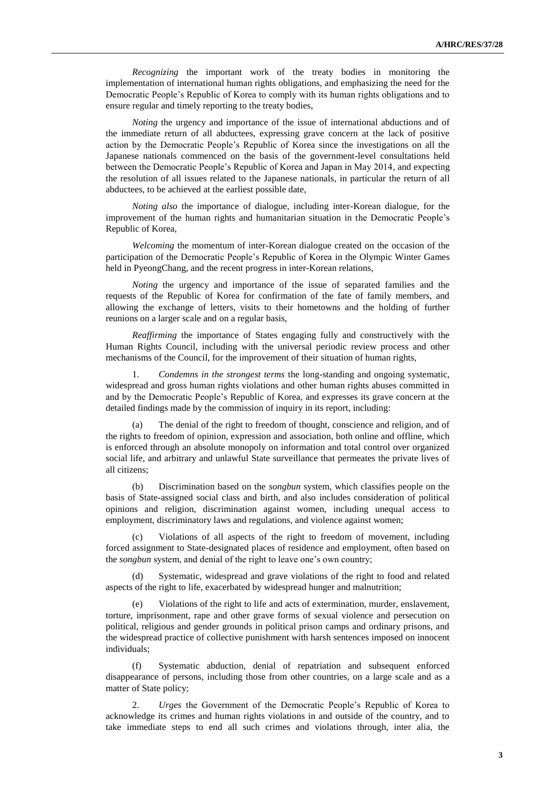*Recognizing* the important work of the treaty bodies in monitoring the implementation of international human rights obligations, and emphasizing the need for the Democratic People's Republic of Korea to comply with its human rights obligations and to ensure regular and timely reporting to the treaty bodies,

*Noting* the urgency and importance of the issue of international abductions and of the immediate return of all abductees, expressing grave concern at the lack of positive action by the Democratic People's Republic of Korea since the investigations on all the Japanese nationals commenced on the basis of the government-level consultations held between the Democratic People's Republic of Korea and Japan in May 2014, and expecting the resolution of all issues related to the Japanese nationals, in particular the return of all abductees, to be achieved at the earliest possible date,

*Noting also* the importance of dialogue, including inter-Korean dialogue, for the improvement of the human rights and humanitarian situation in the Democratic People's Republic of Korea,

*Welcoming* the momentum of inter-Korean dialogue created on the occasion of the participation of the Democratic People's Republic of Korea in the Olympic Winter Games held in PyeongChang, and the recent progress in inter-Korean relations,

*Noting* the urgency and importance of the issue of separated families and the requests of the Republic of Korea for confirmation of the fate of family members, and allowing the exchange of letters, visits to their hometowns and the holding of further reunions on a larger scale and on a regular basis,

*Reaffirming* the importance of States engaging fully and constructively with the Human Rights Council, including with the universal periodic review process and other mechanisms of the Council, for the improvement of their situation of human rights,

1. *Condemns in the strongest terms* the long-standing and ongoing systematic, widespread and gross human rights violations and other human rights abuses committed in and by the Democratic People's Republic of Korea, and expresses its grave concern at the detailed findings made by the commission of inquiry in its report, including:

(a) The denial of the right to freedom of thought, conscience and religion, and of the rights to freedom of opinion, expression and association, both online and offline, which is enforced through an absolute monopoly on information and total control over organized social life, and arbitrary and unlawful State surveillance that permeates the private lives of all citizens;

(b) Discrimination based on the *songbun* system, which classifies people on the basis of State-assigned social class and birth, and also includes consideration of political opinions and religion, discrimination against women, including unequal access to employment, discriminatory laws and regulations, and violence against women;

(c) Violations of all aspects of the right to freedom of movement, including forced assignment to State-designated places of residence and employment, often based on the *songbun* system, and denial of the right to leave one's own country;

(d) Systematic, widespread and grave violations of the right to food and related aspects of the right to life, exacerbated by widespread hunger and malnutrition;

Violations of the right to life and acts of extermination, murder, enslavement, torture, imprisonment, rape and other grave forms of sexual violence and persecution on political, religious and gender grounds in political prison camps and ordinary prisons, and the widespread practice of collective punishment with harsh sentences imposed on innocent individuals;

Systematic abduction, denial of repatriation and subsequent enforced disappearance of persons, including those from other countries, on a large scale and as a matter of State policy;

2. *Urges* the Government of the Democratic People's Republic of Korea to acknowledge its crimes and human rights violations in and outside of the country, and to take immediate steps to end all such crimes and violations through, inter alia, the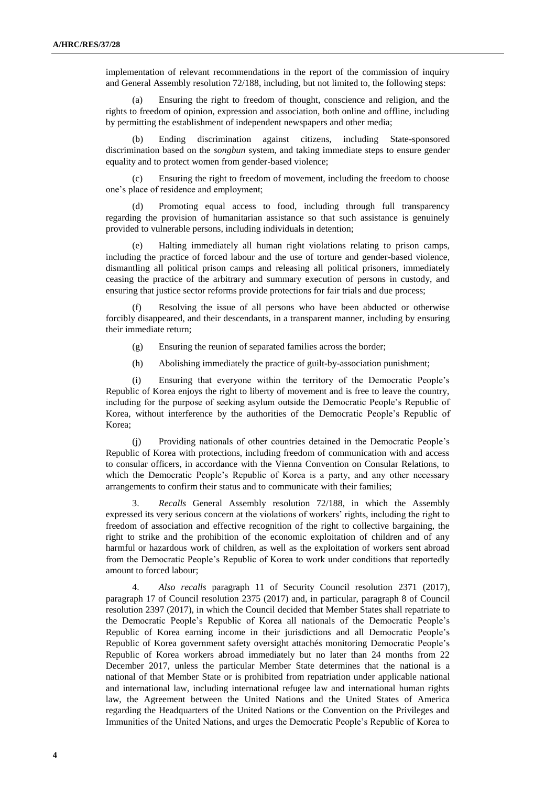implementation of relevant recommendations in the report of the commission of inquiry and General Assembly resolution 72/188, including, but not limited to, the following steps:

(a) Ensuring the right to freedom of thought, conscience and religion, and the rights to freedom of opinion, expression and association, both online and offline, including by permitting the establishment of independent newspapers and other media;

(b) Ending discrimination against citizens, including State-sponsored discrimination based on the *songbun* system, and taking immediate steps to ensure gender equality and to protect women from gender-based violence;

(c) Ensuring the right to freedom of movement, including the freedom to choose one's place of residence and employment;

Promoting equal access to food, including through full transparency regarding the provision of humanitarian assistance so that such assistance is genuinely provided to vulnerable persons, including individuals in detention;

Halting immediately all human right violations relating to prison camps, including the practice of forced labour and the use of torture and gender-based violence, dismantling all political prison camps and releasing all political prisoners, immediately ceasing the practice of the arbitrary and summary execution of persons in custody, and ensuring that justice sector reforms provide protections for fair trials and due process;

Resolving the issue of all persons who have been abducted or otherwise forcibly disappeared, and their descendants, in a transparent manner, including by ensuring their immediate return;

- (g) Ensuring the reunion of separated families across the border;
- (h) Abolishing immediately the practice of guilt-by-association punishment;

(i) Ensuring that everyone within the territory of the Democratic People's Republic of Korea enjoys the right to liberty of movement and is free to leave the country, including for the purpose of seeking asylum outside the Democratic People's Republic of Korea, without interference by the authorities of the Democratic People's Republic of Korea;

(j) Providing nationals of other countries detained in the Democratic People's Republic of Korea with protections, including freedom of communication with and access to consular officers, in accordance with the Vienna Convention on Consular Relations, to which the Democratic People's Republic of Korea is a party, and any other necessary arrangements to confirm their status and to communicate with their families;

3. *Recalls* General Assembly resolution 72/188, in which the Assembly expressed its very serious concern at the violations of workers' rights, including the right to freedom of association and effective recognition of the right to collective bargaining, the right to strike and the prohibition of the economic exploitation of children and of any harmful or hazardous work of children, as well as the exploitation of workers sent abroad from the Democratic People's Republic of Korea to work under conditions that reportedly amount to forced labour;

4. *Also recalls* paragraph 11 of Security Council resolution [2371 \(2017\),](https://undocs.org/S/RES/2371(2017)) paragraph 17 of Council resolution [2375 \(2017\)](https://undocs.org/S/RES/2375(2017)) and, in particular, paragraph 8 of Council resolution 2397 (2017), in which the Council decided that Member States shall repatriate to the Democratic People's Republic of Korea all nationals of the Democratic People's Republic of Korea earning income in their jurisdictions and all Democratic People's Republic of Korea government safety oversight attachés monitoring Democratic People's Republic of Korea workers abroad immediately but no later than 24 months from 22 December 2017, unless the particular Member State determines that the national is a national of that Member State or is prohibited from repatriation under applicable national and international law, including international refugee law and international human rights law, the Agreement between the United Nations and the United States of America regarding the Headquarters of the United Nations or the Convention on the Privileges and Immunities of the United Nations, and urges the Democratic People's Republic of Korea to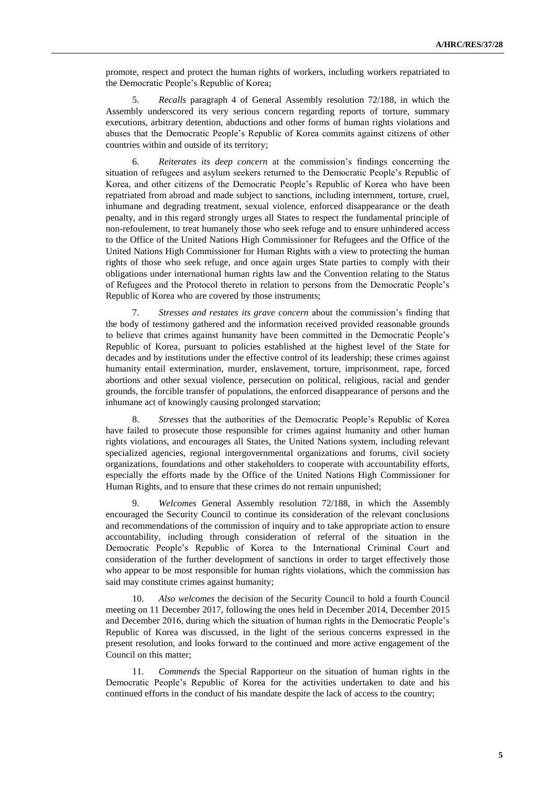promote, respect and protect the human rights of workers, including workers repatriated to the Democratic People's Republic of Korea;

5. *Recalls* paragraph 4 of General Assembly resolution 72/188, in which the Assembly underscored its very serious concern regarding reports of torture, summary executions, arbitrary detention, abductions and other forms of human rights violations and abuses that the Democratic People's Republic of Korea commits against citizens of other countries within and outside of its territory;

6. *Reiterates its deep concern* at the commission's findings concerning the situation of refugees and asylum seekers returned to the Democratic People's Republic of Korea, and other citizens of the Democratic People's Republic of Korea who have been repatriated from abroad and made subject to sanctions, including internment, torture, cruel, inhumane and degrading treatment, sexual violence, enforced disappearance or the death penalty, and in this regard strongly urges all States to respect the fundamental principle of non-refoulement, to treat humanely those who seek refuge and to ensure unhindered access to the Office of the United Nations High Commissioner for Refugees and the Office of the United Nations High Commissioner for Human Rights with a view to protecting the human rights of those who seek refuge, and once again urges State parties to comply with their obligations under international human rights law and the Convention relating to the Status of Refugees and the Protocol thereto in relation to persons from the Democratic People's Republic of Korea who are covered by those instruments;

7. *Stresses and restates its grave concern* about the commission's finding that the body of testimony gathered and the information received provided reasonable grounds to believe that crimes against humanity have been committed in the Democratic People's Republic of Korea, pursuant to policies established at the highest level of the State for decades and by institutions under the effective control of its leadership; these crimes against humanity entail extermination, murder, enslavement, torture, imprisonment, rape, forced abortions and other sexual violence, persecution on political, religious, racial and gender grounds, the forcible transfer of populations, the enforced disappearance of persons and the inhumane act of knowingly causing prolonged starvation;

8. *Stresses* that the authorities of the Democratic People's Republic of Korea have failed to prosecute those responsible for crimes against humanity and other human rights violations, and encourages all States, the United Nations system, including relevant specialized agencies, regional intergovernmental organizations and forums, civil society organizations, foundations and other stakeholders to cooperate with accountability efforts, especially the efforts made by the Office of the United Nations High Commissioner for Human Rights, and to ensure that these crimes do not remain unpunished;

9. *Welcomes* General Assembly resolution 72/188, in which the Assembly encouraged the Security Council to continue its consideration of the relevant conclusions and recommendations of the commission of inquiry and to take appropriate action to ensure accountability, including through consideration of referral of the situation in the Democratic People's Republic of Korea to the International Criminal Court and consideration of the further development of sanctions in order to target effectively those who appear to be most responsible for human rights violations, which the commission has said may constitute crimes against humanity;

10. *Also welcomes* the decision of the Security Council to hold a fourth Council meeting on 11 December 2017, following the ones held in December 2014, December 2015 and December 2016, during which the situation of human rights in the Democratic People's Republic of Korea was discussed, in the light of the serious concerns expressed in the present resolution, and looks forward to the continued and more active engagement of the Council on this matter;

11. *Commends* the Special Rapporteur on the situation of human rights in the Democratic People's Republic of Korea for the activities undertaken to date and his continued efforts in the conduct of his mandate despite the lack of access to the country;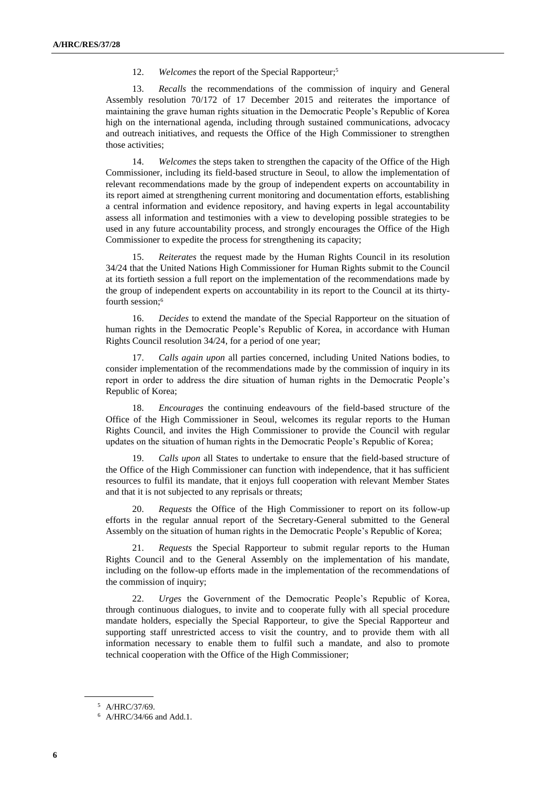12. *Welcomes* the report of the Special Rapporteur; 5

13. *Recalls* the recommendations of the commission of inquiry and General Assembly resolution 70/172 of 17 December 2015 and reiterates the importance of maintaining the grave human rights situation in the Democratic People's Republic of Korea high on the international agenda, including through sustained communications, advocacy and outreach initiatives, and requests the Office of the High Commissioner to strengthen those activities;

14. *Welcomes* the steps taken to strengthen the capacity of the Office of the High Commissioner, including its field-based structure in Seoul, to allow the implementation of relevant recommendations made by the group of independent experts on accountability in its report aimed at strengthening current monitoring and documentation efforts, establishing a central information and evidence repository, and having experts in legal accountability assess all information and testimonies with a view to developing possible strategies to be used in any future accountability process, and strongly encourages the Office of the High Commissioner to expedite the process for strengthening its capacity;

15. *Reiterates* the request made by the Human Rights Council in its resolution 34/24 that the United Nations High Commissioner for Human Rights submit to the Council at its fortieth session a full report on the implementation of the recommendations made by the group of independent experts on accountability in its report to the Council at its thirtyfourth session; 6

16. *Decides* to extend the mandate of the Special Rapporteur on the situation of human rights in the Democratic People's Republic of Korea, in accordance with Human Rights Council resolution 34/24, for a period of one year;

17. *Calls again upon* all parties concerned, including United Nations bodies, to consider implementation of the recommendations made by the commission of inquiry in its report in order to address the dire situation of human rights in the Democratic People's Republic of Korea;

18. *Encourages* the continuing endeavours of the field-based structure of the Office of the High Commissioner in Seoul, welcomes its regular reports to the Human Rights Council, and invites the High Commissioner to provide the Council with regular updates on the situation of human rights in the Democratic People's Republic of Korea;

19. *Calls upon* all States to undertake to ensure that the field-based structure of the Office of the High Commissioner can function with independence, that it has sufficient resources to fulfil its mandate, that it enjoys full cooperation with relevant Member States and that it is not subjected to any reprisals or threats;

20. *Requests* the Office of the High Commissioner to report on its follow-up efforts in the regular annual report of the Secretary-General submitted to the General Assembly on the situation of human rights in the Democratic People's Republic of Korea;

21. *Requests* the Special Rapporteur to submit regular reports to the Human Rights Council and to the General Assembly on the implementation of his mandate, including on the follow-up efforts made in the implementation of the recommendations of the commission of inquiry;

22. *Urges* the Government of the Democratic People's Republic of Korea, through continuous dialogues, to invite and to cooperate fully with all special procedure mandate holders, especially the Special Rapporteur, to give the Special Rapporteur and supporting staff unrestricted access to visit the country, and to provide them with all information necessary to enable them to fulfil such a mandate, and also to promote technical cooperation with the Office of the High Commissioner;

<sup>5</sup> A/HRC/37/69.

<sup>6</sup> A/HRC/34/66 and Add.1.